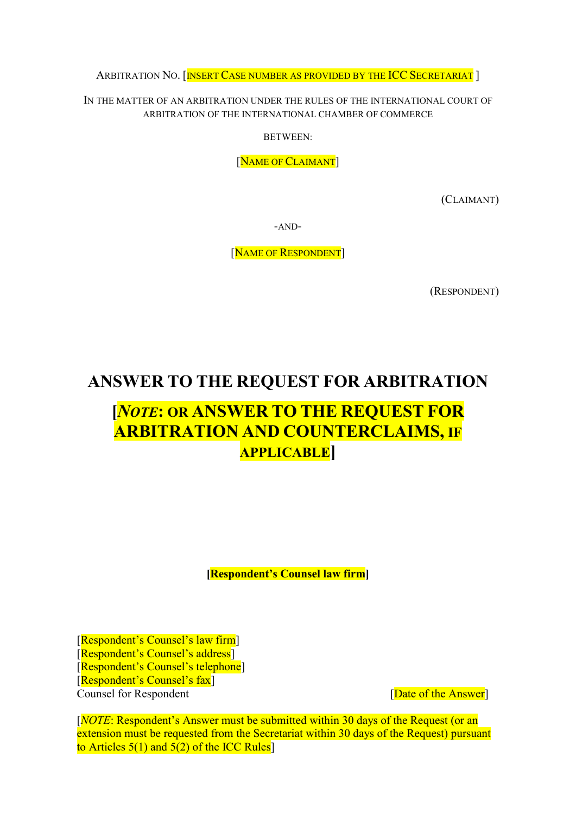ARBITRATION NO. [INSERT CASE NUMBER AS PROVIDED BY THE ICC SECRETARIAT]

IN THE MATTER OF AN ARBITRATION UNDER THE RULES OF THE INTERNATIONAL COURT OF ARBITRATION OF THE INTERNATIONAL CHAMBER OF COMMERCE

BETWEEN:

[NAME OF CLAIMANT]

(CLAIMANT)

-AND-

[NAME OF RESPONDENT]

(RESPONDENT)

## ANSWER TO THE REQUEST FOR ARBITRATION

# [NOTE: OR ANSWER TO THE REQUEST FOR ARBITRATION AND COUNTERCLAIMS, IF APPLICABLE]

[Respondent's Counsel law firm]

[Respondent's Counsel's law firm] [Respondent's Counsel's address] [Respondent's Counsel's telephone] [Respondent's Counsel's fax] Counsel for Respondent **Counsel for Respondent Counsel** [Date of the Answer]

[NOTE: Respondent's Answer must be submitted within 30 days of the Request (or an extension must be requested from the Secretariat within 30 days of the Request) pursuant to Articles  $5(1)$  and  $5(2)$  of the ICC Rules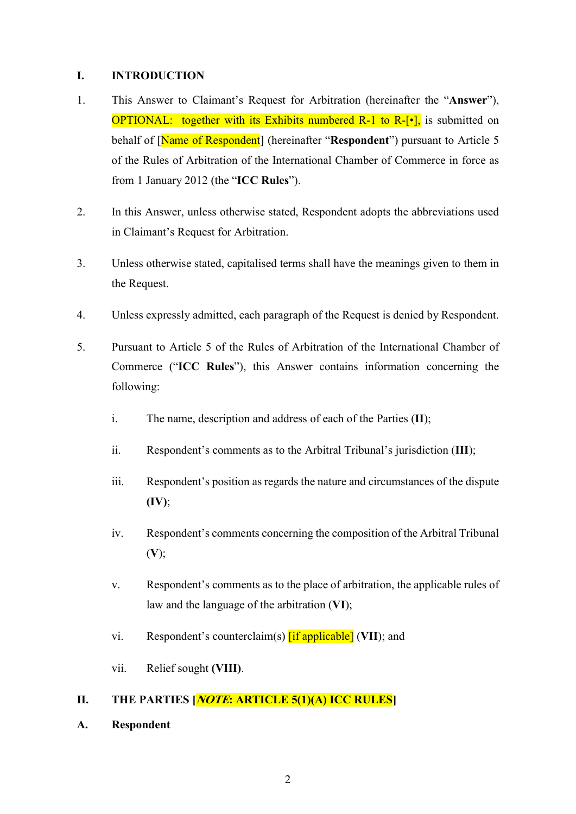#### I. INTRODUCTION

- 1. This Answer to Claimant's Request for Arbitration (hereinafter the "Answer"), **OPTIONAL:** together with its Exhibits numbered R-1 to R- $[\cdot]$ , is submitted on behalf of [Name of Respondent] (hereinafter "Respondent") pursuant to Article 5 of the Rules of Arbitration of the International Chamber of Commerce in force as from 1 January 2012 (the "ICC Rules").
- 2. In this Answer, unless otherwise stated, Respondent adopts the abbreviations used in Claimant's Request for Arbitration.
- 3. Unless otherwise stated, capitalised terms shall have the meanings given to them in the Request.
- 4. Unless expressly admitted, each paragraph of the Request is denied by Respondent.
- 5. Pursuant to Article 5 of the Rules of Arbitration of the International Chamber of Commerce ("ICC Rules"), this Answer contains information concerning the following:
	- i. The name, description and address of each of the Parties  $(II)$ :
	- ii. Respondent's comments as to the Arbitral Tribunal's jurisdiction (III);
	- iii. Respondent's position as regards the nature and circumstances of the dispute  $(IV);$
	- iv. Respondent's comments concerning the composition of the Arbitral Tribunal  $(V);$
	- v. Respondent's comments as to the place of arbitration, the applicable rules of law and the language of the arbitration (VI);
	- vi. Respondent's counterclaim(s)  $\left[ \text{if applicable} \right]$  (VII); and
	- vii. Relief sought (VIII).

## II. THE PARTIES *NOTE*: ARTICLE 5(1)(A) ICC RULES

A. Respondent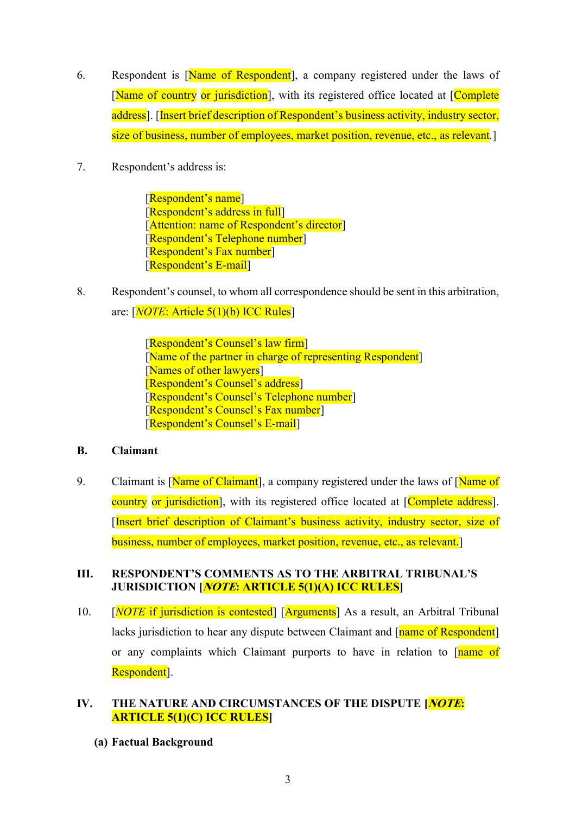- 6. Respondent is [Name of Respondent], a company registered under the laws of [Name of country or jurisdiction], with its registered office located at [Complete] address]. [Insert brief description of Respondent's business activity, industry sector, size of business, number of employees, market position, revenue, etc., as relevant.]
- 7. Respondent's address is:

[Respondent's name] [Respondent's address in full] [Attention: name of Respondent's director] [Respondent's Telephone number] [Respondent's Fax number]] [Respondent's E-mail]

8. Respondent's counsel, to whom all correspondence should be sent in this arbitration, are:  $[NOTE: Article 5(1)(b) ICC Rules]$ 

> [Respondent's Counsel's law firm] [Name of the partner in charge of representing Respondent] [Names of other lawyers] [Respondent's Counsel's address] [Respondent's Counsel's Telephone number] [Respondent's Counsel's Fax number] [Respondent's Counsel's E-mail]

## B. Claimant

9. Claimant is [Name of Claimant], a company registered under the laws of [Name of country or jurisdiction], with its registered office located at [Complete address]. [Insert brief description of Claimant's business activity, industry sector, size of business, number of employees, market position, revenue, etc., as relevant.]

## III. RESPONDENT'S COMMENTS AS TO THE ARBITRAL TRIBUNAL'S JURISDICTION [*NOTE*: ARTICLE 5(1)(A) ICC RULES]

10.  $[NOTE$  if jurisdiction is contested  $[Nrguments]$  As a result, an Arbitral Tribunal lacks jurisdiction to hear any dispute between Claimant and [name of Respondent] or any complaints which Claimant purports to have in relation to [name of Respondent<sup>[1]</sup>.

## IV. THE NATURE AND CIRCUMSTANCES OF THE DISPUTE [NOTE: ARTICLE 5(1)(C) ICC RULES]

(a) Factual Background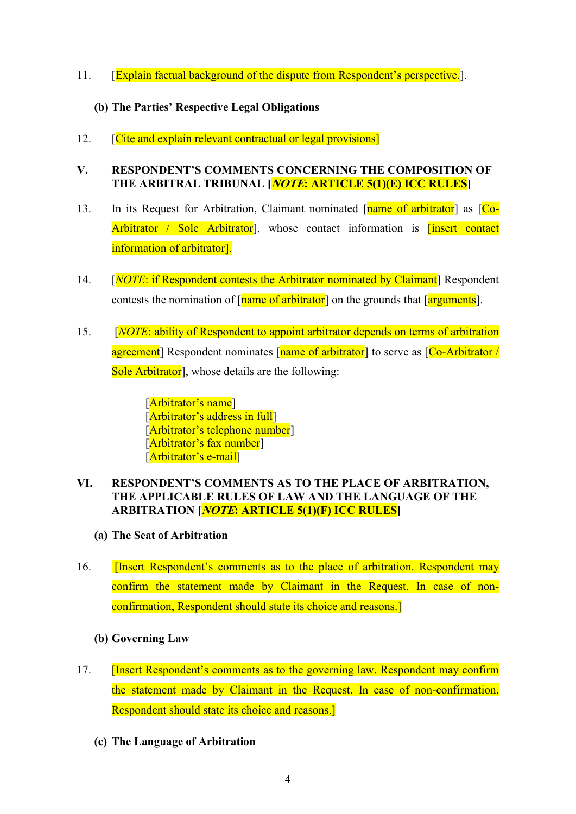11. [Explain factual background of the dispute from Respondent's perspective.]

## (b) The Parties' Respective Legal Obligations

12. **[Cite and explain relevant contractual or legal provisions]** 

## V. RESPONDENT'S COMMENTS CONCERNING THE COMPOSITION OF THE ARBITRAL TRIBUNAL [*NOTE*: ARTICLE 5(1)(E) ICC RULES]

- 13. In its Request for Arbitration, Claimant nominated [name of arbitrator] as [Co-Arbitrator / Sole Arbitrator<sup>]</sup>, whose contact information is **linsert contact** information of arbitrator].
- 14. [*NOTE*: if Respondent contests the Arbitrator nominated by Claimant] Respondent contests the nomination of  $\lceil$  name of arbitrator  $\rceil$  on the grounds that  $\lceil$  arguments  $\rceil$ .
- 15. [NOTE: ability of Respondent to appoint arbitrator depends on terms of arbitration agreement] Respondent nominates [name of arbitrator] to serve as [Co-Arbitrator / Sole Arbitrator<sup>]</sup>, whose details are the following:

[Arbitrator's name] [Arbitrator's address in full] [Arbitrator's telephone number] [Arbitrator's fax number] [Arbitrator's e-mail]

## VI. RESPONDENT'S COMMENTS AS TO THE PLACE OF ARBITRATION, THE APPLICABLE RULES OF LAW AND THE LANGUAGE OF THE ARBITRATION [*NOTE*: ARTICLE 5(1)(F) ICC RULES]

- (a) The Seat of Arbitration
- 16. **Insert Respondent's comments as to the place of arbitration. Respondent may** confirm the statement made by Claimant in the Request. In case of nonconfirmation, Respondent should state its choice and reasons.]
	- (b) Governing Law
- 17. **[Insert Respondent's comments as to the governing law. Respondent may confirm** the statement made by Claimant in the Request. In case of non-confirmation, Respondent should state its choice and reasons.]
	- (c) The Language of Arbitration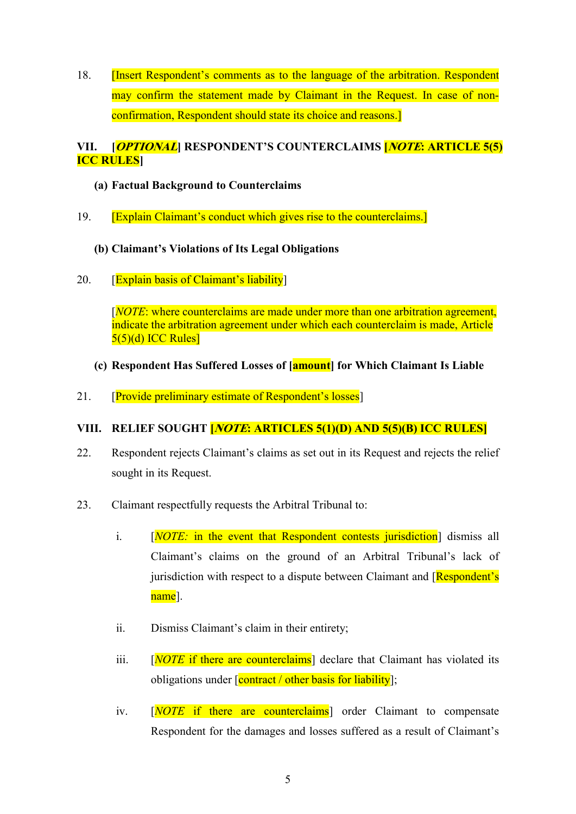18. **[Insert Respondent's comments as to the language of the arbitration. Respondent** may confirm the statement made by Claimant in the Request. In case of nonconfirmation, Respondent should state its choice and reasons.]

## VII. [OPTIONAL] RESPONDENT'S COUNTERCLAIMS [NOTE: ARTICLE 5(5) ICC RULES]

- (a) Factual Background to Counterclaims
- 19. [Explain Claimant's conduct which gives rise to the counterclaims.]

## (b) Claimant's Violations of Its Legal Obligations

20. [Explain basis of Claimant's liability]

[NOTE: where counterclaims are made under more than one arbitration agreement, indicate the arbitration agreement under which each counterclaim is made, Article  $5(5)(d)$  ICC Rules]

- (c) Respondent Has Suffered Losses of [amount] for Which Claimant Is Liable
- 21. **[Provide preliminary estimate of Respondent's losses]**

## VIII. RELIEF SOUGHT **[NOTE: ARTICLES 5(1)(D) AND 5(5)(B) ICC RULES**]

- 22. Respondent rejects Claimant's claims as set out in its Request and rejects the relief sought in its Request.
- 23. Claimant respectfully requests the Arbitral Tribunal to:
	- i. [*NOTE:* in the event that Respondent contests jurisdiction<sup>]</sup> dismiss all Claimant's claims on the ground of an Arbitral Tribunal's lack of jurisdiction with respect to a dispute between Claimant and  $[Respondent's]$ name].
	- ii. Dismiss Claimant's claim in their entirety;
	- iii.  $[NOTE$  if there are counterclaims declare that Claimant has violated its obligations under  $\sqrt{\frac{\text{contract}}{\text{}}$  other basis for liability];
	- iv. [NOTE if there are counterclaims] order Claimant to compensate Respondent for the damages and losses suffered as a result of Claimant's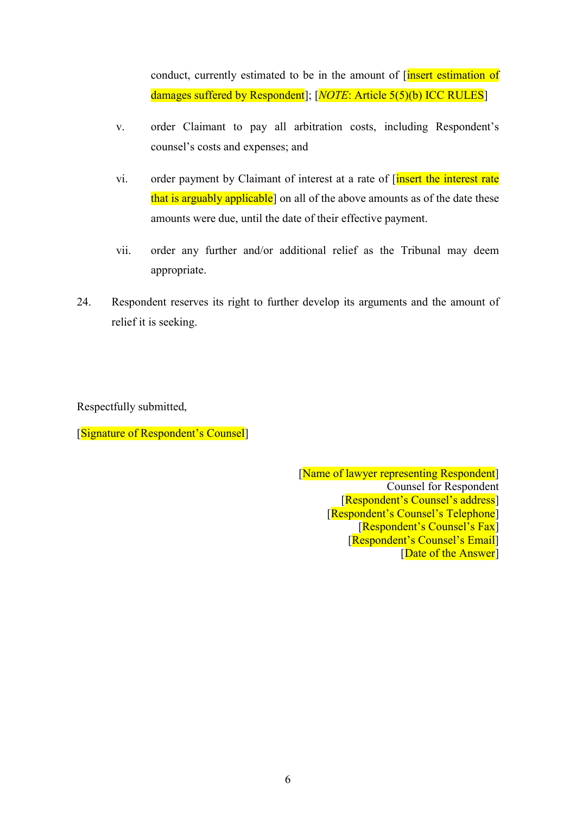conduct, currently estimated to be in the amount of *[insert estimation of* damages suffered by Respondent]; [NOTE: Article 5(5)(b) ICC RULES]

- v. order Claimant to pay all arbitration costs, including Respondent's counsel's costs and expenses; and
- vi. order payment by Claimant of interest at a rate of [insert the interest rate that is arguably applicable<sup>]</sup> on all of the above amounts as of the date these amounts were due, until the date of their effective payment.
- vii. order any further and/or additional relief as the Tribunal may deem appropriate.
- 24. Respondent reserves its right to further develop its arguments and the amount of relief it is seeking.

Respectfully submitted,

[Signature of Respondent's Counsel]

[Name of lawyer representing Respondent] Counsel for Respondent [Respondent's Counsel's address] [Respondent's Counsel's Telephone] [Respondent's Counsel's Fax] [Respondent's Counsel's Email] [Date of the Answer]